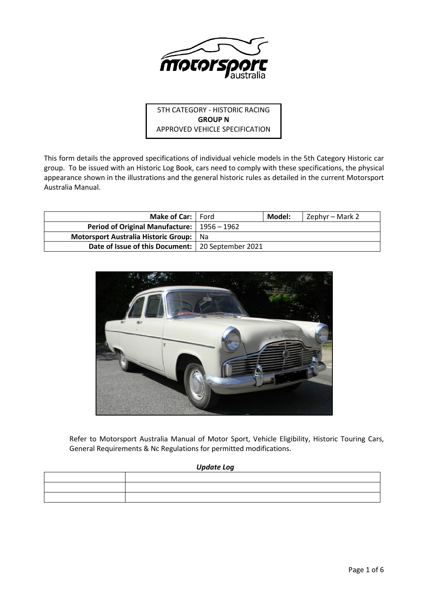

5TH CATEGORY - HISTORIC RACING **GROUP N** APPROVED VEHICLE SPECIFICATION

This form details the approved specifications of individual vehicle models in the 5th Category Historic car group. To be issued with an Historic Log Book, cars need to comply with these specifications, the physical appearance shown in the illustrations and the general historic rules as detailed in the current Motorsport Australia Manual.

| Make of Car:   Ford                                 |    | Model: | Zephyr – Mark 2 |
|-----------------------------------------------------|----|--------|-----------------|
| Period of Original Manufacture:   1956 – 1962       |    |        |                 |
| Motorsport Australia Historic Group:                | Na |        |                 |
| Date of Issue of this Document:   20 September 2021 |    |        |                 |



Refer to Motorsport Australia Manual of Motor Sport, Vehicle Eligibility, Historic Touring Cars, General Requirements & Nc Regulations for permitted modifications.

## *Update Log*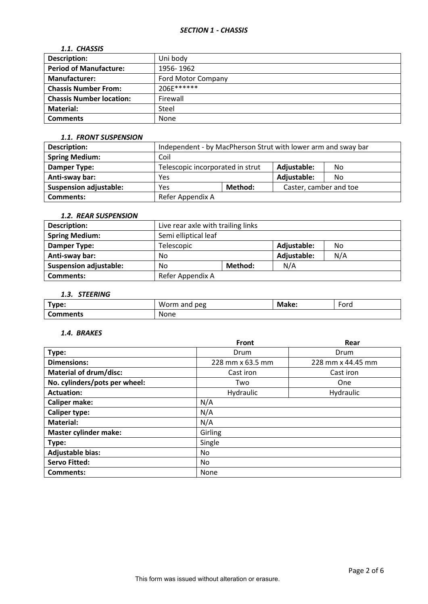## *1.1. CHASSIS*

| <b>Description:</b>             | Uni body                  |
|---------------------------------|---------------------------|
| <b>Period of Manufacture:</b>   | 1956-1962                 |
| <b>Manufacturer:</b>            | <b>Ford Motor Company</b> |
| <b>Chassis Number From:</b>     | 206E******                |
| <b>Chassis Number location:</b> | Firewall                  |
| <b>Material:</b>                | Steel                     |
| <b>Comments</b>                 | None                      |

## *1.1. FRONT SUSPENSION*

| Description:                  | Independent - by MacPherson Strut with lower arm and sway bar |  |                        |    |
|-------------------------------|---------------------------------------------------------------|--|------------------------|----|
| <b>Spring Medium:</b>         | Coil                                                          |  |                        |    |
| Damper Type:                  | Telescopic incorporated in strut                              |  | Adjustable:            | No |
| Anti-sway bar:                | Yes                                                           |  | Adjustable:            | No |
| <b>Suspension adjustable:</b> | Method:<br>Yes                                                |  | Caster, camber and toe |    |
| <b>Comments:</b>              | Refer Appendix A                                              |  |                        |    |

# *1.2. REAR SUSPENSION*

| Description:                  | Live rear axle with trailing links |  |             |     |
|-------------------------------|------------------------------------|--|-------------|-----|
| <b>Spring Medium:</b>         | Semi elliptical leaf               |  |             |     |
| Damper Type:                  | Telescopic                         |  | Adjustable: | No  |
| Anti-sway bar:                | No                                 |  | Adjustable: | N/A |
| <b>Suspension adjustable:</b> | Method:<br>No                      |  | N/A         |     |
| <b>Comments:</b>              | Refer Appendix A                   |  |             |     |

# *1.3. STEERING*

| Tyne:<br>. . | W<br>peg<br>and<br>100 <sub>cm</sub><br>лн | мÆ<br>зке. | $\overline{\phantom{0}}$<br>Ford |
|--------------|--------------------------------------------|------------|----------------------------------|
| Comments:    | None                                       |            |                                  |

## *1.4. BRAKES*

|                               | <b>Front</b>     | Rear              |
|-------------------------------|------------------|-------------------|
| Type:                         | Drum             | Drum              |
| <b>Dimensions:</b>            | 228 mm x 63.5 mm | 228 mm x 44.45 mm |
| <b>Material of drum/disc:</b> | Cast iron        | Cast iron         |
| No. cylinders/pots per wheel: | Two              | One               |
| <b>Actuation:</b>             | Hydraulic        | Hydraulic         |
| <b>Caliper make:</b>          | N/A              |                   |
| <b>Caliper type:</b>          | N/A              |                   |
| <b>Material:</b>              | N/A              |                   |
| <b>Master cylinder make:</b>  | Girling          |                   |
| Type:                         | Single           |                   |
| <b>Adjustable bias:</b>       | No.              |                   |
| <b>Servo Fitted:</b>          | No.              |                   |
| Comments:                     | None             |                   |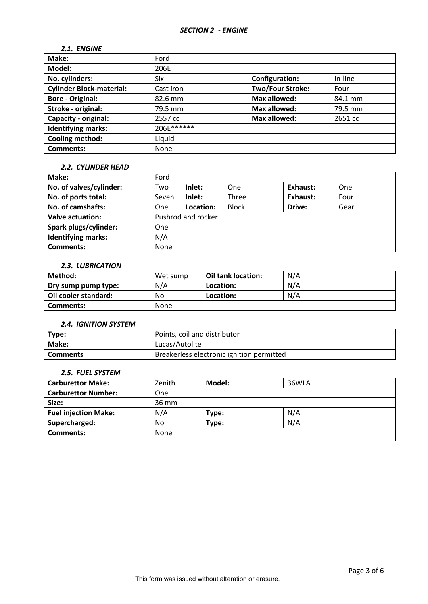# *2.1. ENGINE*

| Make:                           | Ford       |                         |         |
|---------------------------------|------------|-------------------------|---------|
| Model:                          | 206E       |                         |         |
| No. cylinders:                  | Six        | <b>Configuration:</b>   | In-line |
| <b>Cylinder Block-material:</b> | Cast iron  | <b>Two/Four Stroke:</b> | Four    |
| <b>Bore - Original:</b>         | 82.6 mm    | <b>Max allowed:</b>     | 84.1 mm |
| Stroke - original:              | 79.5 mm    | <b>Max allowed:</b>     | 79.5 mm |
| Capacity - original:            | 2557 cc    | <b>Max allowed:</b>     | 2651 cc |
| <b>Identifying marks:</b>       | 206E****** |                         |         |
| <b>Cooling method:</b>          | Liquid     |                         |         |
| <b>Comments:</b>                | None       |                         |         |

#### *2.2. CYLINDER HEAD*

| Make:                     | Ford       |                    |              |          |      |
|---------------------------|------------|--------------------|--------------|----------|------|
| No. of valves/cylinder:   | Two        | Inlet:             | One          | Exhaust: | One  |
| No. of ports total:       | Seven      | Inlet:             | Three        | Exhaust: | Four |
| No. of camshafts:         | One        | Location:          | <b>Block</b> | Drive:   | Gear |
| <b>Valve actuation:</b>   |            | Pushrod and rocker |              |          |      |
| Spark plugs/cylinder:     | <b>One</b> |                    |              |          |      |
| <b>Identifying marks:</b> | N/A        |                    |              |          |      |
| <b>Comments:</b>          | None       |                    |              |          |      |

# *2.3. LUBRICATION*

| Method:              | Wet sump | Oil tank location: | N/A |
|----------------------|----------|--------------------|-----|
| Dry sump pump type:  | N/A      | Location:          | N/A |
| Oil cooler standard: | No       | Location:          | N/A |
| Comments:            | None     |                    |     |

#### *2.4. IGNITION SYSTEM*

| Type:      | Points, coil and distributor              |
|------------|-------------------------------------------|
| Make:      | Lucas/Autolite                            |
| l Comments | Breakerless electronic ignition permitted |

### *2.5. FUEL SYSTEM*

| <b>Carburettor Make:</b>    | Zenith | Model: | 36WLA |
|-----------------------------|--------|--------|-------|
| <b>Carburettor Number:</b>  | One    |        |       |
| Size:                       | 36 mm  |        |       |
| <b>Fuel injection Make:</b> | N/A    | Type:  | N/A   |
| Supercharged:               | No     | Type:  | N/A   |
| <b>Comments:</b>            | None   |        |       |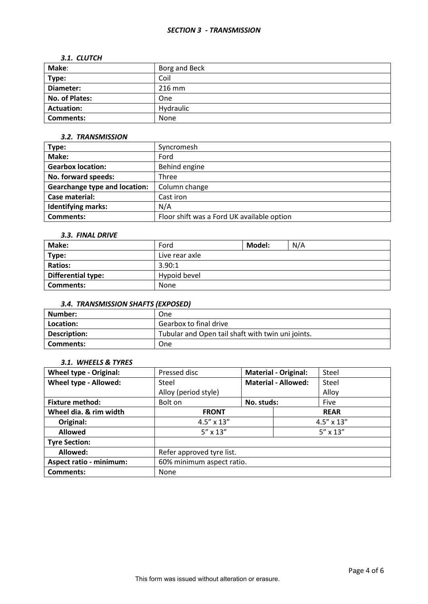#### *SECTION 3 - TRANSMISSION*

#### *3.1. CLUTCH*

| Make:             | Borg and Beck |
|-------------------|---------------|
| Type:             | Coil          |
| Diameter:         | 216 mm        |
| No. of Plates:    | One           |
| <b>Actuation:</b> | Hydraulic     |
| <b>Comments:</b>  | None          |

## *3.2. TRANSMISSION*

| Type:                                | Syncromesh                                 |
|--------------------------------------|--------------------------------------------|
| Make:                                | Ford                                       |
| <b>Gearbox location:</b>             | Behind engine                              |
| No. forward speeds:                  | Three                                      |
| <b>Gearchange type and location:</b> | Column change                              |
| Case material:                       | Cast iron                                  |
| <b>Identifying marks:</b>            | N/A                                        |
| <b>Comments:</b>                     | Floor shift was a Ford UK available option |

### *3.3. FINAL DRIVE*

| Make:                     | Ford           | Model: | N/A |
|---------------------------|----------------|--------|-----|
| Type:                     | Live rear axle |        |     |
| <b>Ratios:</b>            | 3.90:1         |        |     |
| <b>Differential type:</b> | Hypoid bevel   |        |     |
| Comments:                 | None           |        |     |

# *3.4. TRANSMISSION SHAFTS (EXPOSED)*

| Number:      | One                                               |
|--------------|---------------------------------------------------|
| Location:    | Gearbox to final drive                            |
| Description: | Tubular and Open tail shaft with twin uni joints. |
| Comments:    | One                                               |

## *3.1. WHEELS & TYRES*

| <b>Wheel type - Original:</b>  | Pressed disc              |             | <b>Material - Original:</b> | Steel |
|--------------------------------|---------------------------|-------------|-----------------------------|-------|
| Wheel type - Allowed:          | Steel                     |             | <b>Material - Allowed:</b>  | Steel |
|                                | Alloy (period style)      |             |                             | Alloy |
| <b>Fixture method:</b>         | Bolt on                   | No. studs:  |                             | Five  |
| Wheel dia. & rim width         | <b>FRONT</b>              | <b>REAR</b> |                             |       |
| Original:                      | $4.5'' \times 13''$       |             | $4.5'' \times 13''$         |       |
| <b>Allowed</b>                 | $5'' \times 13''$         |             | $5'' \times 13''$           |       |
| <b>Tyre Section:</b>           |                           |             |                             |       |
| Allowed:                       | Refer approved tyre list. |             |                             |       |
| <b>Aspect ratio - minimum:</b> | 60% minimum aspect ratio. |             |                             |       |
| Comments:                      | None                      |             |                             |       |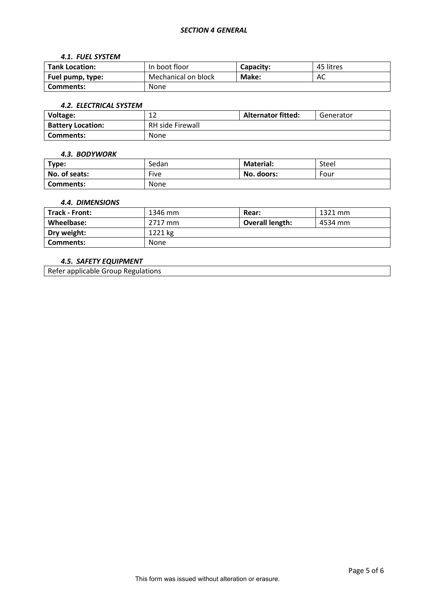#### *4.1. FUEL SYSTEM*

| <b>Tank Location:</b> | In boot floor       | <b>Capacity:</b> | 45 litres |
|-----------------------|---------------------|------------------|-----------|
| Fuel pump, type:      | Mechanical on block | Make:            | AC        |
| <b>Comments:</b>      | None                |                  |           |

#### *4.2. ELECTRICAL SYSTEM*

| Voltage:                 | ∸∸                      | <b>Alternator fitted:</b> | Generator |
|--------------------------|-------------------------|---------------------------|-----------|
| <b>Battery Location:</b> | <b>RH side Firewall</b> |                           |           |
| <b>Comments:</b>         | None                    |                           |           |

#### *4.3. BODYWORK*

| Type:            | Sedan       | <b>Material:</b> | Steel |
|------------------|-------------|------------------|-------|
| No. of seats:    | Five        | No. doors:       | Four  |
| <b>Comments:</b> | <b>None</b> |                  |       |

## *4.4. DIMENSIONS*

| Track - Front: | 1346 mm     | Rear:                  | 1321 mm |
|----------------|-------------|------------------------|---------|
| Wheelbase:     | 2717 mm     | <b>Overall length:</b> | 4534 mm |
| Dry weight:    | 1221 kg     |                        |         |
| Comments:      | <b>None</b> |                        |         |

## *4.5. SAFETY EQUIPMENT*

Refer applicable Group Regulations